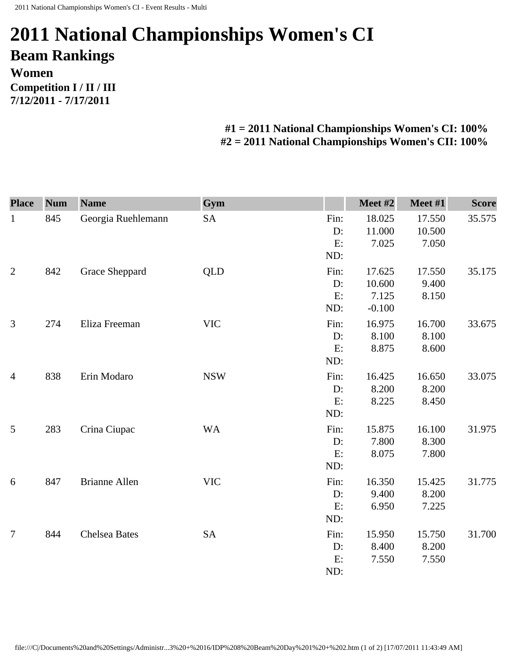## **2011 National Championships Women's CI Beam Rankings Women Competition I / II / III 7/12/2011 - 7/17/2011**

## **#1 = 2011 National Championships Women's CI: 100% #2 = 2011 National Championships Women's CII: 100%**

| <b>Place</b>   | <b>Num</b> | <b>Name</b>          | Gym        |                         | Meet #2                               | Meet #1                   | <b>Score</b> |
|----------------|------------|----------------------|------------|-------------------------|---------------------------------------|---------------------------|--------------|
| $\mathbf{1}$   | 845        | Georgia Ruehlemann   | <b>SA</b>  | Fin:<br>D:<br>E:<br>ND: | 18.025<br>11.000<br>7.025             | 17.550<br>10.500<br>7.050 | 35.575       |
| $\overline{2}$ | 842        | Grace Sheppard       | <b>QLD</b> | Fin:<br>D:<br>E:<br>ND: | 17.625<br>10.600<br>7.125<br>$-0.100$ | 17.550<br>9.400<br>8.150  | 35.175       |
| 3              | 274        | Eliza Freeman        | <b>VIC</b> | Fin:<br>D:<br>E:<br>ND: | 16.975<br>8.100<br>8.875              | 16.700<br>8.100<br>8.600  | 33.675       |
| $\overline{4}$ | 838        | Erin Modaro          | <b>NSW</b> | Fin:<br>D:<br>E:<br>ND: | 16.425<br>8.200<br>8.225              | 16.650<br>8.200<br>8.450  | 33.075       |
| 5              | 283        | Crina Ciupac         | <b>WA</b>  | Fin:<br>D:<br>E:<br>ND: | 15.875<br>7.800<br>8.075              | 16.100<br>8.300<br>7.800  | 31.975       |
| 6              | 847        | <b>Brianne Allen</b> | <b>VIC</b> | Fin:<br>D:<br>E:<br>ND: | 16.350<br>9.400<br>6.950              | 15.425<br>8.200<br>7.225  | 31.775       |
| $\overline{7}$ | 844        | <b>Chelsea Bates</b> | <b>SA</b>  | Fin:<br>D:<br>E:<br>ND: | 15.950<br>8.400<br>7.550              | 15.750<br>8.200<br>7.550  | 31.700       |